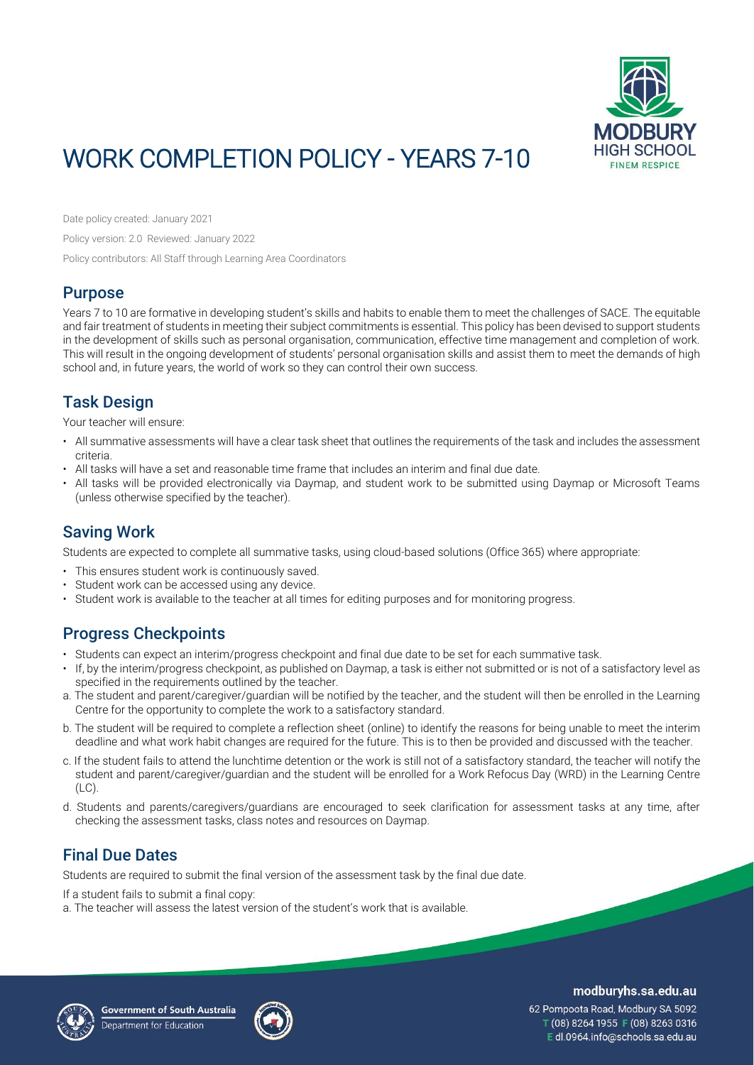

# WORK COMPLETION POLICY - YEARS 7-10

Date policy created: January 2021

Policy version: 2.0 Reviewed: January 2022

Policy contributors: All Staff through Learning Area Coordinators

### Purpose

Years 7 to 10 are formative in developing student's skills and habits to enable them to meet the challenges of SACE. The equitable and fair treatment of students in meeting their subject commitments is essential. This policy has been devised to support students in the development of skills such as personal organisation, communication, effective time management and completion of work. This will result in the ongoing development of students' personal organisation skills and assist them to meet the demands of high school and, in future years, the world of work so they can control their own success.

## Task Design

Your teacher will ensure:

- All summative assessments will have a clear task sheet that outlines the requirements of the task and includes the assessment criteria.
- All tasks will have a set and reasonable time frame that includes an interim and final due date.
- All tasks will be provided electronically via Daymap, and student work to be submitted using Daymap or Microsoft Teams (unless otherwise specified by the teacher).

### Saving Work

Students are expected to complete all summative tasks, using cloud-based solutions (Office 365) where appropriate:

- This ensures student work is continuously saved.
- Student work can be accessed using any device.
- Student work is available to the teacher at all times for editing purposes and for monitoring progress.

### Progress Checkpoints

- Students can expect an interim/progress checkpoint and final due date to be set for each summative task.
- If, by the interim/progress checkpoint, as published on Daymap, a task is either not submitted or is not of a satisfactory level as specified in the requirements outlined by the teacher.
- a. The student and parent/caregiver/guardian will be notified by the teacher, and the student will then be enrolled in the Learning Centre for the opportunity to complete the work to a satisfactory standard.
- b. The student will be required to complete a reflection sheet (online) to identify the reasons for being unable to meet the interim deadline and what work habit changes are required for the future. This is to then be provided and discussed with the teacher.
- c. If the student fails to attend the lunchtime detention or the work is still not of a satisfactory standard, the teacher will notify the student and parent/caregiver/guardian and the student will be enrolled for a Work Refocus Day (WRD) in the Learning Centre (LC).
- d. Students and parents/caregivers/guardians are encouraged to seek clarification for assessment tasks at any time, after checking the assessment tasks, class notes and resources on Daymap.

### Final Due Dates

Students are required to submit the final version of the assessment task by the final due date.

If a student fails to submit a final copy:

a. The teacher will assess the latest version of the student's work that is available.





modburyhs.sa.edu.au

62 Pompoota Road, Modbury SA 5092 T (08) 8264 1955 F (08) 8263 0316 E dl.0964.info@schools.sa.edu.au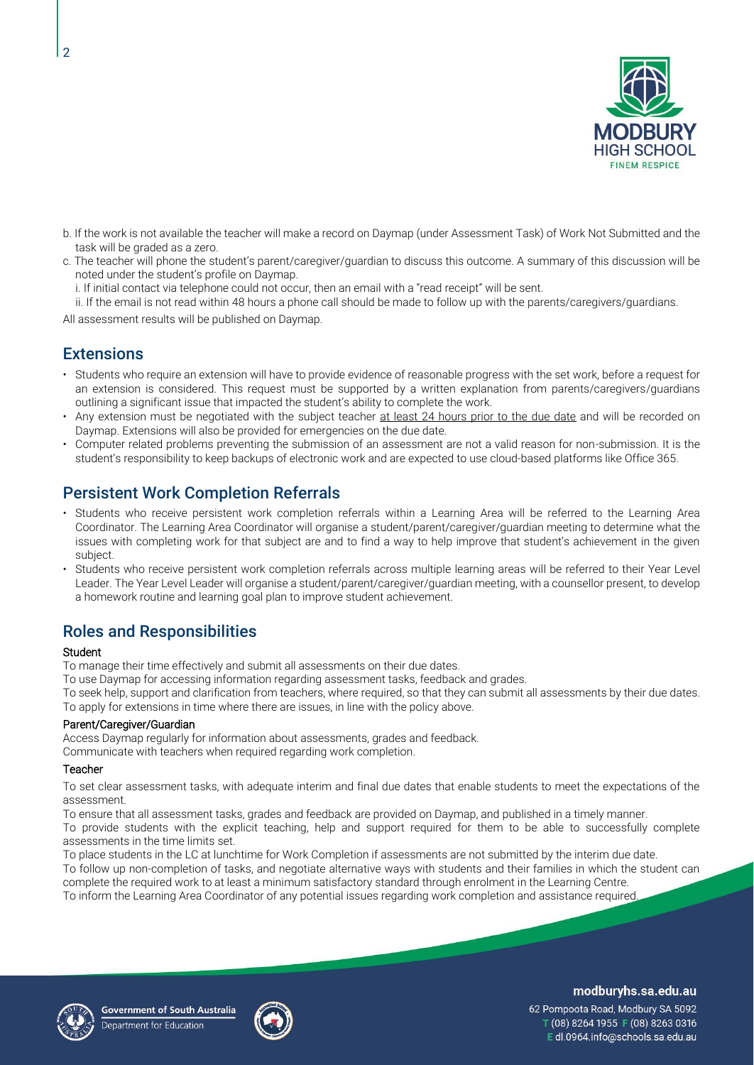

- b. If the work is not available the teacher will make a record on Daymap (under Assessment Task) of Work Not Submitted and the task will be graded as a zero.
- c. The teacher will phone the student's parent/caregiver/guardian to discuss this outcome. A summary of this discussion will be noted under the student's profile on Daymap.
	- i. If initial contact via telephone could not occur, then an email with a "read receipt" will be sent.
- ii. If the email is not read within 48 hours a phone call should be made to follow up with the parents/caregivers/guardians.

All assessment results will be published on Daymap.

### **Extensions**

 $\overline{2}$ 

- Students who require an extension will have to provide evidence of reasonable progress with the set work, before a request for an extension is considered. This request must be supported by a written explanation from parents/caregivers/guardians outlining a significant issue that impacted the student's ability to complete the work.
- Any extension must be negotiated with the subject teacher at least 24 hours prior to the due date and will be recorded on Daymap. Extensions will also be provided for emergencies on the due date.
- Computer related problems preventing the submission of an assessment are not a valid reason for non-submission. It is the student's responsibility to keep backups of electronic work and are expected to use cloud-based platforms like Office 365.

### Persistent Work Completion Referrals

- Students who receive persistent work completion referrals within a Learning Area will be referred to the Learning Area Coordinator. The Learning Area Coordinator will organise a student/parent/caregiver/guardian meeting to determine what the issues with completing work for that subject are and to find a way to help improve that student's achievement in the given subject.
- Students who receive persistent work completion referrals across multiple learning areas will be referred to their Year Level Leader. The Year Level Leader will organise a student/parent/caregiver/guardian meeting, with a counsellor present, to develop a homework routine and learning goal plan to improve student achievement.

### Roles and Responsibilities

#### **Student**

To manage their time effectively and submit all assessments on their due dates.

To use Daymap for accessing information regarding assessment tasks, feedback and grades.

To seek help, support and clarification from teachers, where required, so that they can submit all assessments by their due dates. To apply for extensions in time where there are issues, in line with the policy above.

#### Parent/Caregiver/Guardian

Access Daymap regularly for information about assessments, grades and feedback. Communicate with teachers when required regarding work completion.

### **Teacher**

To set clear assessment tasks, with adequate interim and final due dates that enable students to meet the expectations of the assessment.

To ensure that all assessment tasks, grades and feedback are provided on Daymap, and published in a timely manner. To provide students with the explicit teaching, help and support required for them to be able to successfully complete assessments in the time limits set.

To place students in the LC at lunchtime for Work Completion if assessments are not submitted by the interim due date. To follow up non-completion of tasks, and negotiate alternative ways with students and their families in which the student can complete the required work to at least a minimum satisfactory standard through enrolment in the Learning Centre. To inform the Learning Area Coordinator of any potential issues regarding work completion and assistance required.





modburyhs.sa.edu.au

62 Pompoota Road, Modbury SA 5092 T (08) 8264 1955 F (08) 8263 0316 Edl.0964.info@schools.sa.edu.au